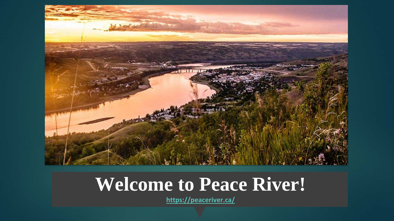

#### **Welcome to Peace River!**

**<https://peaceriver.ca/>**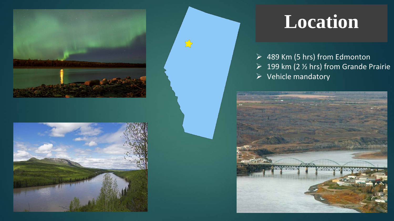



#### **Location**

▶ 489 Km (5 hrs) from Edmonton  $\geq 199$  km (2 % hrs) from Grande Prairie  $\triangleright$  Vehicle mandatory

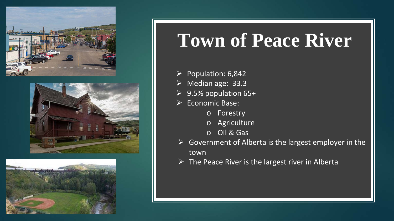





### **Town of Peace River**

- $\triangleright$  Population: 6,842
- $\triangleright$  Median age: 33.3
- $\geq$  9.5% population 65+
- $\triangleright$  Economic Base:
	- o Forestry
	- o Agriculture
	- o Oil & Gas
- $\triangleright$  Government of Alberta is the largest employer in the town
- $\triangleright$  The Peace River is the largest river in Alberta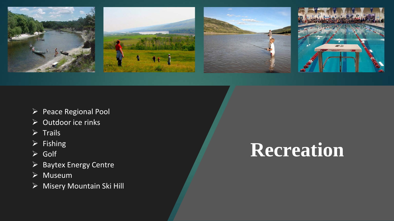

- Peace Regional Pool
- $\sqrt{2}$  Outdoor ice rinks
- $\triangleright$  Trails
- $\triangleright$  Fishing
- Golf
- $\triangleright$  Baytex Energy Centre
- $\sqrt{\triangleright}$  Museum
- Misery Mountain Ski Hill

# **Recreation**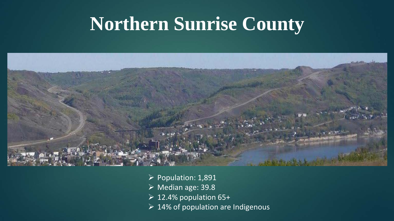### **Northern Sunrise County**



- $\triangleright$  Population: 1,891
- Median age: 39.8
- $\geq 12.4\%$  population 65+
- $\geq 14\%$  of population are Indigenous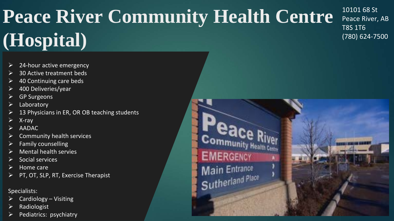# **Peace River Community Health Centre (Hospital)**

10101 68 St Peace River, AB T8S 1T6 (780) 624-7500

- 24-hour active emergency
- 30 Active treatment beds
- 40 Continuing care beds
- 400 Deliveries/year
- GP Surgeons
- Laboratory
- 13 Physicians in ER, OR OB teaching students
- X-ray
- AADAC
- Community health services
- Family counselling
- Mental health servies
- Social services
- Home care
- PT, OT, SLP, RT, Exercise Therapist

#### Specialists:

- Cardiology Visiting
- Radiologist
- $\triangleright$  Pediatrics: psychiatry

**EMERGENCY** Main Entrance Sutherland Place